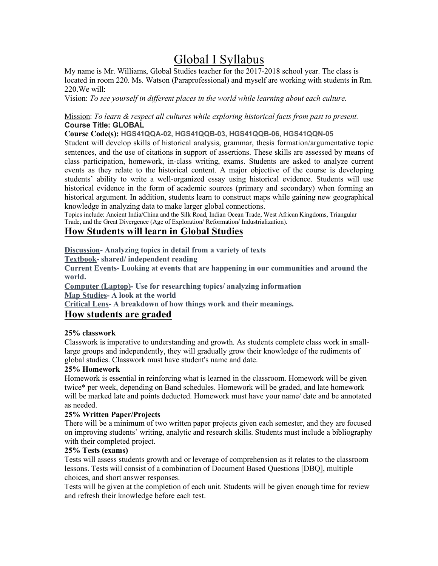# Global I Syllabus

My name is Mr. Williams, Global Studies teacher for the 2017-2018 school year. The class is located in room 220. Ms. Watson (Paraprofessional) and myself are working with students in Rm. 220.We will:

Vision: *To see yourself in different places in the world while learning about each culture.*

#### Mission: *To learn & respect all cultures while exploring historical facts from past to present.* **Course Title: GLOBAL**

**Course Code(s): HGS41QQA-02, HGS41QQB-03, HGS41QQB-06, HGS41QQN-05**

Student will develop skills of historical analysis, grammar, thesis formation/argumentative topic sentences, and the use of citations in support of assertions. These skills are assessed by means of class participation, homework, in-class writing, exams. Students are asked to analyze current events as they relate to the historical content. A major objective of the course is developing students' ability to write a well-organized essay using historical evidence. Students will use historical evidence in the form of academic sources (primary and secondary) when forming an historical argument. In addition, students learn to construct maps while gaining new geographical knowledge in analyzing data to make larger global connections.

Topics include: Ancient India/China and the Silk Road, Indian Ocean Trade, West African Kingdoms, Triangular Trade, and the Great Divergence (Age of Exploration/ Reformation/ Industrialization).

## **How Students will learn in Global Studies**

**Discussion- Analyzing topics in detail from a variety of texts**

**Textbook- shared/ independent reading**

**Current Events- Looking at events that are happening in our communities and around the world.**

**Computer (Laptop)- Use for researching topics/ analyzing information Map Studies- A look at the world**

**Critical Lens- A breakdown of how things work and their meanings.**

### **How students are graded**

#### **25% classwork**

Classwork is imperative to understanding and growth. As students complete class work in smalllarge groups and independently, they will gradually grow their knowledge of the rudiments of global studies. Classwork must have student's name and date.

#### **25% Homework**

Homework is essential in reinforcing what is learned in the classroom. Homework will be given twice\* per week, depending on Band schedules. Homework will be graded, and late homework will be marked late and points deducted. Homework must have your name/ date and be annotated as needed.

#### **25% Written Paper/Projects**

There will be a minimum of two written paper projects given each semester, and they are focused on improving students' writing, analytic and research skills. Students must include a bibliography with their completed project.

#### **25% Tests (exams)**

Tests will assess students growth and or leverage of comprehension as it relates to the classroom lessons. Tests will consist of a combination of Document Based Questions [DBQ], multiple choices, and short answer responses.

Tests will be given at the completion of each unit. Students will be given enough time for review and refresh their knowledge before each test.